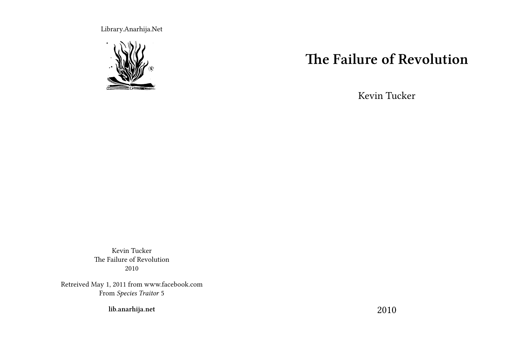Library.Anarhija.Net



# **The Failure of Revolution**

Kevin Tucker

Kevin Tucker The Failure of Revolution 2010

Retreived May 1, 2011 from www.facebook.com From *Species Traitor* 5

**lib.anarhija.net**

2010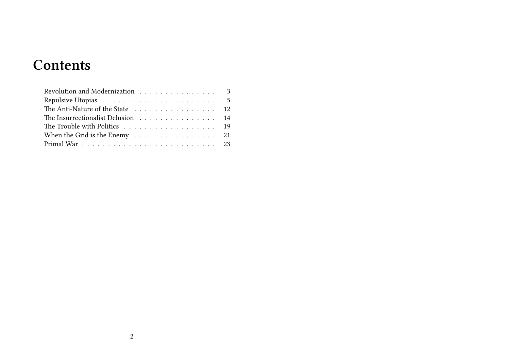# **Contents**

| Revolution and Modernization 3                                     |  |
|--------------------------------------------------------------------|--|
|                                                                    |  |
| The Anti-Nature of the State 12                                    |  |
| The Insurrectionalist Delusion 14                                  |  |
|                                                                    |  |
| When the Grid is the Enemy $\ldots \ldots \ldots \ldots \ldots 21$ |  |
|                                                                    |  |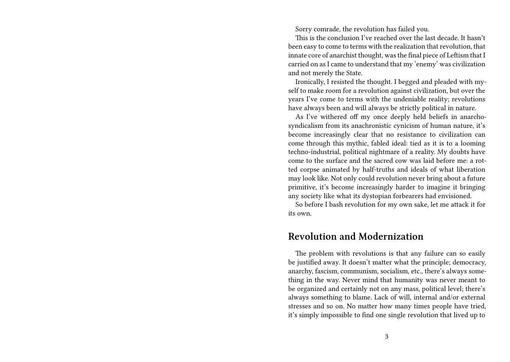Sorry comrade, the revolution has failed you.

This is the conclusion I've reached over the last decade. It hasn't been easy to come to terms with the realization that revolution, that innate core of anarchist thought, was the final piece of Leftism that I carried on as I came to understand that my 'enemy' was civilization and not merely the State.

Ironically, I resisted the thought. I begged and pleaded with myself to make room for a revolution against civilization, but over the years I've come to terms with the undeniable reality; revolutions have always been and will always be strictly political in nature.

As I've withered off my once deeply held beliefs in anarchosyndicalism from its anachronistic cynicism of human nature, it's become increasingly clear that no resistance to civilization can come through this mythic, fabled ideal: tied as it is to a looming techno-industrial, political nightmare of a reality. My doubts have come to the surface and the sacred cow was laid before me: a rotted corpse animated by half-truths and ideals of what liberation may look like. Not only could revolution never bring about a future primitive, it's become increasingly harder to imagine it bringing any society like what its dystopian forbearers had envisioned.

So before I bash revolution for my own sake, let me attack it for its own.

#### **Revolution and Modernization**

The problem with revolutions is that any failure can so easily be justified away. It doesn't matter what the principle; democracy, anarchy, fascism, communism, socialism, etc., there's always something in the way. Never mind that humanity was never meant to be organized and certainly not on any mass, political level; there's always something to blame. Lack of will, internal and/or external stresses and so on. No matter how many times people have tried, it's simply impossible to find one single revolution that lived up to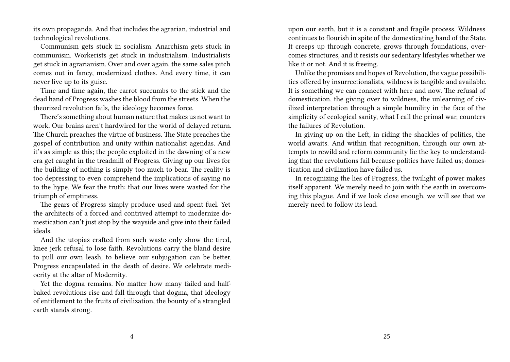its own propaganda. And that includes the agrarian, industrial and technological revolutions.

Communism gets stuck in socialism. Anarchism gets stuck in communism. Workerists get stuck in industrialism. Industrialists get stuck in agrarianism. Over and over again, the same sales pitch comes out in fancy, modernized clothes. And every time, it can never live up to its guise.

Time and time again, the carrot succumbs to the stick and the dead hand of Progress washes the blood from the streets. When the theorized revolution fails, the ideology becomes force.

There's something about human nature that makes us not want to work. Our brains aren't hardwired for the world of delayed return. The Church preaches the virtue of business. The State preaches the gospel of contribution and unity within nationalist agendas. And it's as simple as this; the people exploited in the dawning of a new era get caught in the treadmill of Progress. Giving up our lives for the building of nothing is simply too much to bear. The reality is too depressing to even comprehend the implications of saying no to the hype. We fear the truth: that our lives were wasted for the triumph of emptiness.

The gears of Progress simply produce used and spent fuel. Yet the architects of a forced and contrived attempt to modernize domestication can't just stop by the wayside and give into their failed ideals.

And the utopias crafted from such waste only show the tired, knee jerk refusal to lose faith. Revolutions carry the bland desire to pull our own leash, to believe our subjugation can be better. Progress encapsulated in the death of desire. We celebrate mediocrity at the altar of Modernity.

Yet the dogma remains. No matter how many failed and halfbaked revolutions rise and fall through that dogma, that ideology of entitlement to the fruits of civilization, the bounty of a strangled earth stands strong.

upon our earth, but it is a constant and fragile process. Wildness continues to flourish in spite of the domesticating hand of the State. It creeps up through concrete, grows through foundations, overcomes structures, and it resists our sedentary lifestyles whether we like it or not. And it is freeing.

Unlike the promises and hopes of Revolution, the vague possibilities offered by insurrectionalists, wildness is tangible and available. It is something we can connect with here and now. The refusal of domestication, the giving over to wildness, the unlearning of civilized interpretation through a simple humility in the face of the simplicity of ecological sanity, what I call the primal war, counters the failures of Revolution.

In giving up on the Left, in riding the shackles of politics, the world awaits. And within that recognition, through our own attempts to rewild and reform community lie the key to understanding that the revolutions fail because politics have failed us; domestication and civilization have failed us.

In recognizing the lies of Progress, the twilight of power makes itself apparent. We merely need to join with the earth in overcoming this plague. And if we look close enough, we will see that we merely need to follow its lead.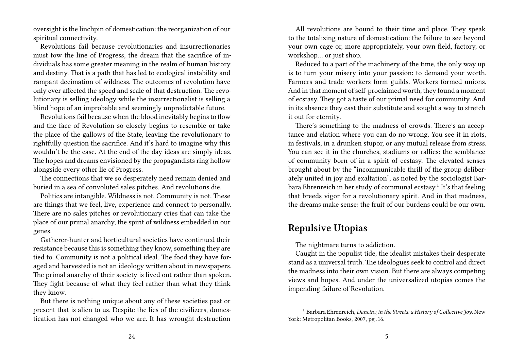oversight is the linchpin of domestication: the reorganization of our spiritual connectivity.

Revolutions fail because revolutionaries and insurrectionaries must tow the line of Progress, the dream that the sacrifice of individuals has some greater meaning in the realm of human history and destiny. That is a path that has led to ecological instability and rampant decimation of wildness. The outcomes of revolution have only ever affected the speed and scale of that destruction. The revolutionary is selling ideology while the insurrectionalist is selling a blind hope of an improbable and seemingly unpredictable future.

Revolutions fail because when the blood inevitably begins to flow and the face of Revolution so closely begins to resemble or take the place of the gallows of the State, leaving the revolutionary to rightfully question the sacrifice. And it's hard to imagine why this wouldn't be the case. At the end of the day ideas are simply ideas. The hopes and dreams envisioned by the propagandists ring hollow alongside every other lie of Progress.

The connections that we so desperately need remain denied and buried in a sea of convoluted sales pitches. And revolutions die.

Politics are intangible. Wildness is not. Community is not. These are things that we feel, live, experience and connect to personally. There are no sales pitches or revolutionary cries that can take the place of our primal anarchy, the spirit of wildness embedded in our genes.

Gatherer-hunter and horticultural societies have continued their resistance because this is something they know, something they are tied to. Community is not a political ideal. The food they have foraged and harvested is not an ideology written about in newspapers. The primal anarchy of their society is lived out rather than spoken. They fight because of what they feel rather than what they think they know.

But there is nothing unique about any of these societies past or present that is alien to us. Despite the lies of the civilizers, domestication has not changed who we are. It has wrought destruction

All revolutions are bound to their time and place. They speak to the totalizing nature of domestication: the failure to see beyond your own cage or, more appropriately, your own field, factory, or workshop… or just shop.

Reduced to a part of the machinery of the time, the only way up is to turn your misery into your passion: to demand your worth. Farmers and trade workers form guilds. Workers formed unions. And in that moment of self-proclaimed worth, they found a moment of ecstasy. They got a taste of our primal need for community. And in its absence they cast their substitute and sought a way to stretch it out for eternity.

There's something to the madness of crowds. There's an acceptance and elation where you can do no wrong. You see it in riots, in festivals, in a drunken stupor, or any mutual release from stress. You can see it in the churches, stadiums or rallies: the semblance of community born of in a spirit of ecstasy. The elevated senses brought about by the "incommunicable thrill of the group deliberately united in joy and exaltation", as noted by the sociologist Barbara Ehrenreich in her study of communal ecstasy.<sup>1</sup> It's that feeling that breeds vigor for a revolutionary spirit. And in that madness, the dreams make sense: the fruit of our burdens could be our own.

#### **Repulsive Utopias**

The nightmare turns to addiction.

Caught in the populist tide, the idealist mistakes their desperate stand as a universal truth. The ideologues seek to control and direct the madness into their own vision. But there are always competing views and hopes. And under the universalized utopias comes the impending failure of Revolution.

<sup>1</sup> Barbara Ehrenreich, *Dancing in the Streets: a History of Collective Joy*. New York: Metropolitan Books, 2007, pg .16.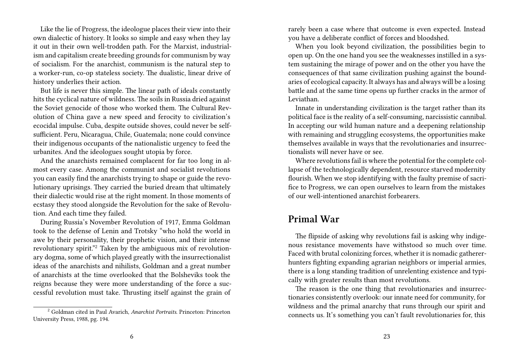Like the lie of Progress, the ideologue places their view into their own dialectic of history. It looks so simple and easy when they lay it out in their own well-trodden path. For the Marxist, industrialism and capitalism create breeding grounds for communism by way of socialism. For the anarchist, communism is the natural step to a worker-run, co-op stateless society. The dualistic, linear drive of history underlies their action.

But life is never this simple. The linear path of ideals constantly hits the cyclical nature of wildness. The soils in Russia dried against the Soviet genocide of those who worked them. The Cultural Revolution of China gave a new speed and ferocity to civilization's ecocidal impulse. Cuba, despite outside shoves, could never be selfsufficient. Peru, Nicaragua, Chile, Guatemala; none could convince their indigenous occupants of the nationalistic urgency to feed the urbanites. And the ideologues sought utopia by force.

And the anarchists remained complacent for far too long in almost every case. Among the communist and socialist revolutions you can easily find the anarchists trying to shape or guide the revolutionary uprisings. They carried the buried dream that ultimately their dialectic would rise at the right moment. In those moments of ecstasy they stood alongside the Revolution for the sake of Revolution. And each time they failed.

During Russia's November Revolution of 1917, Emma Goldman took to the defense of Lenin and Trotsky "who hold the world in awe by their personality, their prophetic vision, and their intense revolutionary spirit."<sup>2</sup> Taken by the ambiguous mix of revolutionary dogma, some of which played greatly with the insurrectionalist ideas of the anarchists and nihilists, Goldman and a great number of anarchists at the time overlooked that the Bolsheviks took the reigns because they were more understanding of the force a successful revolution must take. Thrusting itself against the grain of

rarely been a case where that outcome is even expected. Instead you have a deliberate conflict of forces and bloodshed.

When you look beyond civilization, the possibilities begin to open up. On the one hand you see the weaknesses instilled in a system sustaining the mirage of power and on the other you have the consequences of that same civilization pushing against the boundaries of ecological capacity. It always has and always will be a losing battle and at the same time opens up further cracks in the armor of Leviathan.

Innate in understanding civilization is the target rather than its political face is the reality of a self-consuming, narcissistic cannibal. In accepting our wild human nature and a deepening relationship with remaining and struggling ecosystems, the opportunities make themselves available in ways that the revolutionaries and insurrectionalists will never have or see.

Where revolutions fail is where the potential for the complete collapse of the technologically dependent, resource starved modernity flourish. When we stop identifying with the faulty premise of sacrifice to Progress, we can open ourselves to learn from the mistakes of our well-intentioned anarchist forbearers.

### **Primal War**

The flipside of asking why revolutions fail is asking why indigenous resistance movements have withstood so much over time. Faced with brutal colonizing forces, whether it is nomadic gathererhunters fighting expanding agrarian neighbors or imperial armies, there is a long standing tradition of unrelenting existence and typically with greater results than most revolutions.

The reason is the one thing that revolutionaries and insurrectionaries consistently overlook: our innate need for community, for wildness and the primal anarchy that runs through our spirit and connects us. It's something you can't fault revolutionaries for, this

<sup>2</sup> Goldman cited in Paul Avarich, *Anarchist Portraits*. Princeton: Princeton University Press, 1988, pg. 194.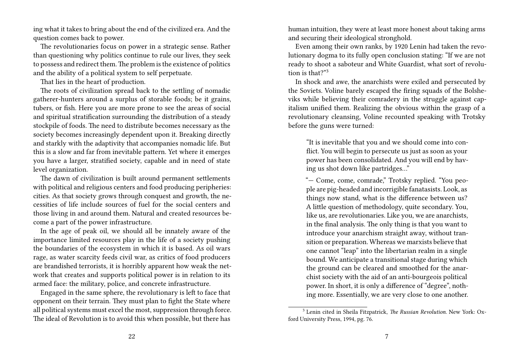ing what it takes to bring about the end of the civilized era. And the question comes back to power.

The revolutionaries focus on power in a strategic sense. Rather than questioning why politics continue to rule our lives, they seek to possess and redirect them.The problem is the existence of politics and the ability of a political system to self perpetuate.

That lies in the heart of production.

The roots of civilization spread back to the settling of nomadic gatherer-hunters around a surplus of storable foods; be it grains, tubers, or fish. Here you are more prone to see the areas of social and spiritual stratification surrounding the distribution of a steady stockpile of foods. The need to distribute becomes necessary as the society becomes increasingly dependent upon it. Breaking directly and starkly with the adaptivity that accompanies nomadic life. But this is a slow and far from inevitable pattern. Yet where it emerges you have a larger, stratified society, capable and in need of state level organization.

The dawn of civilization is built around permanent settlements with political and religious centers and food producing peripheries: cities. As that society grows through conquest and growth, the necessities of life include sources of fuel for the social centers and those living in and around them. Natural and created resources become a part of the power infrastructure.

In the age of peak oil, we should all be innately aware of the importance limited resources play in the life of a society pushing the boundaries of the ecosystem in which it is based. As oil wars rage, as water scarcity feeds civil war, as critics of food producers are brandished terrorists, it is horribly apparent how weak the network that creates and supports political power is in relation to its armed face: the military, police, and concrete infrastructure.

Engaged in the same sphere, the revolutionary is left to face that opponent on their terrain. They must plan to fight the State where all political systems must excel the most, suppression through force. The ideal of Revolution is to avoid this when possible, but there has

human intuition, they were at least more honest about taking arms and securing their ideological stronghold.

Even among their own ranks, by 1920 Lenin had taken the revolutionary dogma to its fully open conclusion stating: "If we are not ready to shoot a saboteur and White Guardist, what sort of revolution is that?"<sup>3</sup>

In shock and awe, the anarchists were exiled and persecuted by the Soviets. Voline barely escaped the firing squads of the Bolsheviks while believing their comradery in the struggle against capitalism unified them. Realizing the obvious within the grasp of a revolutionary cleansing, Voline recounted speaking with Trotsky before the guns were turned:

"It is inevitable that you and we should come into conflict. You will begin to persecute us just as soon as your power has been consolidated. And you will end by having us shot down like partridges…"

"— Come, come, comrade," Trotsky replied. "You people are pig-headed and incorrigible fanatasists. Look, as things now stand, what is the difference between us? A little question of methodology, quite secondary. You, like us, are revolutionaries. Like you, we are anarchists, in the final analysis. The only thing is that you want to introduce your anarchism straight away, without transition or preparation. Whereas we marxists believe that one cannot "leap" into the libertarian realm in a single bound. We anticipate a transitional stage during which the ground can be cleared and smoothed for the anarchist society with the aid of an anti-bourgeois political power. In short, it is only a difference of "degree", nothing more. Essentially, we are very close to one another.

<sup>3</sup> Lenin cited in Sheila Fitzpatrick, *The Russian Revolution*. New York: Oxford University Press, 1994, pg. 76.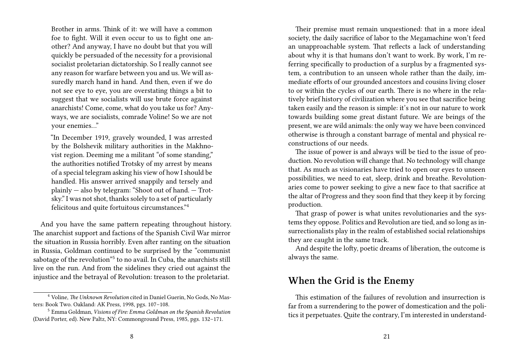Brother in arms. Think of it: we will have a common foe to fight. Will it even occur to us to fight one another? And anyway, I have no doubt but that you will quickly be persuaded of the necessity for a provisional socialist proletarian dictatorship. So I really cannot see any reason for warfare between you and us. We will assuredly march hand in hand. And then, even if we do not see eye to eye, you are overstating things a bit to suggest that we socialists will use brute force against anarchists! Come, come, what do you take us for? Anyways, we are socialists, comrade Voline! So we are not your enemies…"

"In December 1919, gravely wounded, I was arrested by the Bolshevik military authorities in the Makhnovist region. Deeming me a militant "of some standing," the authorities notified Trotsky of my arrest by means of a special telegram asking his view of how I should be handled. His answer arrived snappily and tersely and plainly — also by telegram: "Shoot out of hand. — Trotsky." I was not shot, thanks solely to a set of particularly felicitous and quite fortuitous circumstances."<sup>4</sup>

And you have the same pattern repeating throughout history. The anarchist support and factions of the Spanish Civil War mirror the situation in Russia horribly. Even after ranting on the situation in Russia, Goldman continued to be surprised by the "communist sabotage of the revolution"<sup>5</sup> to no avail. In Cuba, the anarchists still live on the run. And from the sidelines they cried out against the injustice and the betrayal of Revolution: treason to the proletariat.

Their premise must remain unquestioned: that in a more ideal society, the daily sacrifice of labor to the Megamachine won't feed an unapproachable system. That reflects a lack of understanding about why it is that humans don't want to work. By work, I'm referring specifically to production of a surplus by a fragmented system, a contribution to an unseen whole rather than the daily, immediate efforts of our grounded ancestors and cousins living closer to or within the cycles of our earth. There is no where in the relatively brief history of civilization where you see that sacrifice being taken easily and the reason is simple: it's not in our nature to work towards building some great distant future. We are beings of the present, we are wild animals: the only way we have been convinced otherwise is through a constant barrage of mental and physical reconstructions of our needs.

The issue of power is and always will be tied to the issue of production. No revolution will change that. No technology will change that. As much as visionaries have tried to open our eyes to unseen possibilities, we need to eat, sleep, drink and breathe. Revolutionaries come to power seeking to give a new face to that sacrifice at the altar of Progress and they soon find that they keep it by forcing production.

That grasp of power is what unites revolutionaries and the systems they oppose. Politics and Revolution are tied, and so long as insurrectionalists play in the realm of established social relationships they are caught in the same track.

And despite the lofty, poetic dreams of liberation, the outcome is always the same.

### **When the Grid is the Enemy**

This estimation of the failures of revolution and insurrection is far from a surrendering to the power of domestication and the politics it perpetuates.Quite the contrary, I'm interested in understand-

<sup>4</sup> Voline, *The Unknown Revolution* cited in Daniel Guerin, No Gods, No Masters: Book Two. Oakland: AK Press, 1998, pgs. 107–108.

<sup>5</sup> Emma Goldman, *Visions of Fire: Emma Goldman on the Spanish Revolution* (David Porter, ed). New Paltz, NY: Commonground Press, 1985, pgs. 132–171.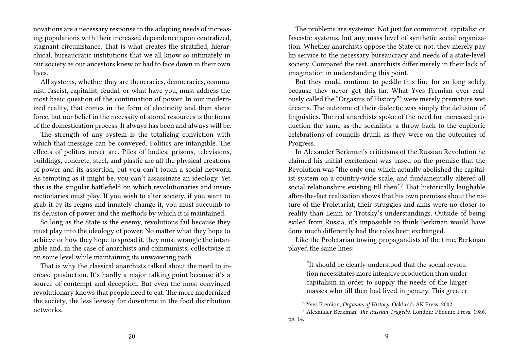novations are a necessary response to the adapting needs of increasing populations with their increased dependence upon centralized, stagnant circumstance. That is what creates the stratified, hierarchical, bureaucratic institutions that we all know so intimately in our society as our ancestors knew or had to face down in their own lives.

All systems, whether they are theocracies, democracies, communist, fascist, capitalist, feudal, or what have you, must address the most basic question of the continuation of power. In our modernized reality, that comes in the form of electricity and then sheer force, but our belief in the necessity of stored resources is the focus of the domestication process. It always has been and always will be.

The strength of any system is the totalizing conviction with which that message can be conveyed. Politics are intangible. The effects of politics never are. Piles of bodies, prisons, televisions, buildings, concrete, steel, and plastic are all the physical creations of power and its assertion, but you can't touch a social network. As tempting as it might be, you can't assassinate an ideology. Yet this is the singular battlefield on which revolutionaries and insurrectionaries must play. If you wish to alter society, if you want to grab it by its reigns and innately change it, you must succumb to its delusion of power and the methods by which it is maintained.

So long as the State is the enemy, revolutions fail because they must play into the ideology of power. No matter what they hope to achieve or how they hope to spread it, they must wrangle the intangible and, in the case of anarchists and communists, collectivize it on some level while maintaining its unwavering path.

That is why the classical anarchists talked about the need to increase production. It's hardly a major talking point because it's a source of contempt and deception. But even the most convinced revolutionary knows that people need to eat. The more modernized the society, the less leeway for downtime in the food distribution networks.

The problems are systemic. Not just for communist, capitalist or fascistic systems, but any mass level of synthetic social organization. Whether anarchists oppose the State or not, they merely pay lip service to the necessary bureaucracy and needs of a state-level society. Compared the rest, anarchists differ merely in their lack of imagination in understanding this point.

But they could continue to peddle this line for so long solely because they never got this far. What Yves Fremian over zealously called the "Orgasms of History"<sup>6</sup> were merely premature wet dreams. The outcome of their dialectic was simply the delusion of linguistics. The red anarchists spoke of the need for increased production the same as the socialists: a throw back to the euphoric celebrations of councils drunk as they were on the outcomes of Progress.

In Alexander Berkman's criticisms of the Russian Revolution he claimed his initial excitement was based on the premise that the Revolution was "the only one which actually abolished the capitalist system on a country-wide scale, and fundamentally altered all social relationships existing till then."<sup>7</sup> That historically laughable after-the-fact realization shows that his own premises about the nature of the Proletariat, their struggles and aims were no closer to reality than Lenin or Trotsky's understandings. Outside of being exiled from Russia, it's impossible to think Berkman would have done much differently had the roles been exchanged.

Like the Proletarian towing propagandists of the time, Berkman played the same lines:

"It should be clearly understood that the social revolution necessitates more intensive production than under capitalism in order to supply the needs of the larger masses who till then had lived in penury. This greater

<sup>6</sup> Yves Fremion, *Orgasms of History*. Oakland: AK Press, 2002.

<sup>7</sup> Alexander Berkman, *The Russian Tragedy*. London: Phoenix Press, 1986, pg. 14.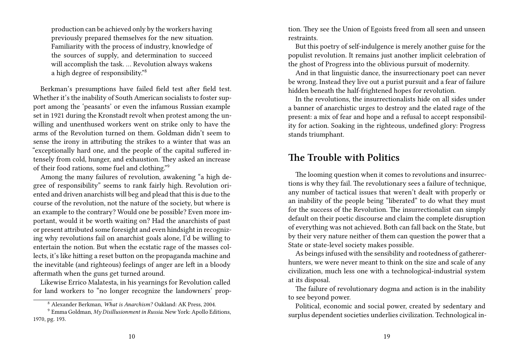production can be achieved only by the workers having previously prepared themselves for the new situation. Familiarity with the process of industry, knowledge of the sources of supply, and determination to succeed will accomplish the task. … Revolution always wakens a high degree of responsibility."<sup>8</sup>

Berkman's presumptions have failed field test after field test. Whether it's the inability of South American socialists to foster support among the 'peasants' or even the infamous Russian example set in 1921 during the Kronstadt revolt when protest among the unwilling and unenthused workers went on strike only to have the arms of the Revolution turned on them. Goldman didn't seem to sense the irony in attributing the strikes to a winter that was an "exceptionally hard one, and the people of the capital suffered intensely from cold, hunger, and exhaustion. They asked an increase of their food rations, some fuel and clothing."<sup>9</sup>

Among the many failures of revolution, awakening "a high degree of responsibility" seems to rank fairly high. Revolution oriented and driven anarchists will beg and plead that this is due to the course of the revolution, not the nature of the society, but where is an example to the contrary? Would one be possible? Even more important, would it be worth waiting on? Had the anarchists of past or present attributed some foresight and even hindsight in recognizing why revolutions fail on anarchist goals alone, I'd be willing to entertain the notion. But when the ecstatic rage of the masses collects, it's like hitting a reset button on the propaganda machine and the inevitable (and righteous) feelings of anger are left in a bloody aftermath when the guns get turned around.

Likewise Errico Malatesta, in his yearnings for Revolution called for land workers to "no longer recognize the landowners' proption. They see the Union of Egoists freed from all seen and unseen restraints.

But this poetry of self-indulgence is merely another guise for the populist revolution. It remains just another implicit celebration of the ghost of Progress into the oblivious pursuit of modernity.

And in that linguistic dance, the insurrectionary poet can never be wrong. Instead they live out a purist pursuit and a fear of failure hidden beneath the half-frightened hopes for revolution.

In the revolutions, the insurrectionalists hide on all sides under a banner of anarchistic urges to destroy and the elated rage of the present: a mix of fear and hope and a refusal to accept responsibility for action. Soaking in the righteous, undefined glory: Progress stands triumphant.

## **The Trouble with Politics**

The looming question when it comes to revolutions and insurrections is why they fail. The revolutionary sees a failure of technique, any number of tactical issues that weren't dealt with properly or an inability of the people being "liberated" to do what they must for the success of the Revolution. The insurrectionalist can simply default on their poetic discourse and claim the complete disruption of everything was not achieved. Both can fall back on the State, but by their very nature neither of them can question the power that a State or state-level society makes possible.

As beings infused with the sensibility and rootedness of gathererhunters, we were never meant to think on the size and scale of any civilization, much less one with a technological-industrial system at its disposal.

The failure of revolutionary dogma and action is in the inability to see beyond power.

Political, economic and social power, created by sedentary and surplus dependent societies underlies civilization. Technological in-

<sup>8</sup> Alexander Berkman, *What is Anarchism?* Oakland: AK Press, 2004.

<sup>9</sup> Emma Goldman, *My Disillusionment in Russia*. New York: Apollo Editions, 1970, pg. 193.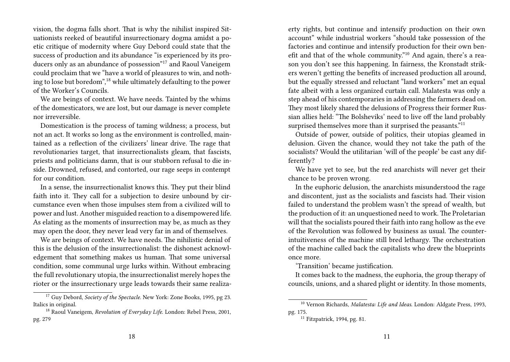vision, the dogma falls short. That is why the nihilist inspired Situationists reeked of beautiful insurrectionary dogma amidst a poetic critique of modernity where Guy Debord could state that the success of production and its abundance "is experienced by its producers only as an abundance of possession"<sup>17</sup> and Raoul Vaneigem could proclaim that we "have a world of pleasures to win, and nothing to lose but boredom",<sup>18</sup> while ultimately defaulting to the power of the Worker's Councils.

We are beings of context. We have needs. Tainted by the whims of the domesticators, we are lost, but our damage is never complete nor irreversible.

Domestication is the process of taming wildness; a process, but not an act. It works so long as the environment is controlled, maintained as a reflection of the civilizers' linear drive. The rage that revolutionaries target, that insurrectionalists gleam, that fascists, priests and politicians damn, that is our stubborn refusal to die inside. Drowned, refused, and contorted, our rage seeps in contempt for our condition.

In a sense, the insurrectionalist knows this. They put their blind faith into it. They call for a subjection to desire unbound by circumstance even when those impulses stem from a civilized will to power and lust. Another misguided reaction to a disempowered life. As elating as the moments of insurrection may be, as much as they may open the door, they never lead very far in and of themselves.

We are beings of context. We have needs. The nihilistic denial of this is the delusion of the insurrectionalist: the dishonest acknowledgement that something makes us human. That some universal condition, some communal urge lurks within. Without embracing the full revolutionary utopia, the insurrectionalist merely hopes the rioter or the insurrectionary urge leads towards their same realizaerty rights, but continue and intensify production on their own account" while industrial workers "should take possession of the factories and continue and intensify production for their own benefit and that of the whole community."<sup>10</sup> And again, there's a reason you don't see this happening. In fairness, the Kronstadt strikers weren't getting the benefits of increased production all around, but the equally stressed and reluctant "land workers" met an equal fate albeit with a less organized curtain call. Malatesta was only a step ahead of his contemporaries in addressing the farmers dead on. They most likely shared the delusions of Progress their former Russian allies held: "The Bolsheviks' need to live off the land probably surprised themselves more than it surprised the peasants."<sup>11</sup>

Outside of power, outside of politics, their utopias gleamed in delusion. Given the chance, would they not take the path of the socialists? Would the utilitarian 'will of the people' be cast any differently?

We have yet to see, but the red anarchists will never get their chance to be proven wrong.

In the euphoric delusion, the anarchists misunderstood the rage and discontent, just as the socialists and fascists had. Their vision failed to understand the problem wasn't the spread of wealth, but the production of it: an unquestioned need to work. The Proletarian will that the socialists poured their faith into rang hollow as the eve of the Revolution was followed by business as usual. The counterintuitiveness of the machine still bred lethargy. The orchestration of the machine called back the capitalists who drew the blueprints once more.

'Transition' became justification.

It comes back to the madness, the euphoria, the group therapy of councils, unions, and a shared plight or identity. In those moments,

<sup>&</sup>lt;sup>17</sup> Guy Debord, *Society of the Spectacle*. New York: Zone Books, 1995, pg 23. Italics in original.

<sup>18</sup> Raoul Vaneigem, *Revolution of Everyday Life*. London: Rebel Press, 2001, pg. 279

<sup>10</sup> Vernon Richards, *Malatesta: Life and Ideas*. London: Aldgate Press, 1993, pg. 175.

<sup>11</sup> Fitzpatrick, 1994, pg. 81.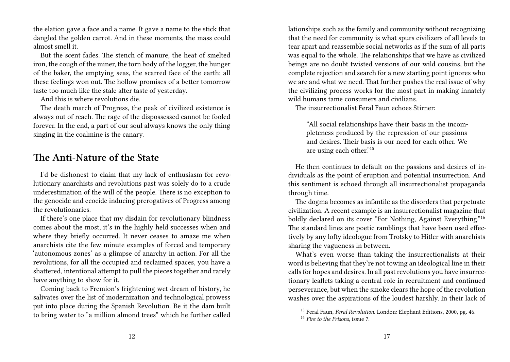the elation gave a face and a name. It gave a name to the stick that dangled the golden carrot. And in these moments, the mass could almost smell it.

But the scent fades. The stench of manure, the heat of smelted iron, the cough of the miner, the torn body of the logger, the hunger of the baker, the emptying seas, the scarred face of the earth; all these feelings won out. The hollow promises of a better tomorrow taste too much like the stale after taste of yesterday.

And this is where revolutions die.

The death march of Progress, the peak of civilized existence is always out of reach. The rage of the dispossessed cannot be fooled forever. In the end, a part of our soul always knows the only thing singing in the coalmine is the canary.

## **The Anti-Nature of the State**

I'd be dishonest to claim that my lack of enthusiasm for revolutionary anarchists and revolutions past was solely do to a crude underestimation of the will of the people. There is no exception to the genocide and ecocide inducing prerogatives of Progress among the revolutionaries.

If there's one place that my disdain for revolutionary blindness comes about the most, it's in the highly held successes when and where they briefly occurred. It never ceases to amaze me when anarchists cite the few minute examples of forced and temporary 'autonomous zones' as a glimpse of anarchy in action. For all the revolutions, for all the occupied and reclaimed spaces, you have a shattered, intentional attempt to pull the pieces together and rarely have anything to show for it.

Coming back to Fremion's frightening wet dream of history, he salivates over the list of modernization and technological prowess put into place during the Spanish Revolution. Be it the dam built to bring water to "a million almond trees" which he further called

lationships such as the family and community without recognizing that the need for community is what spurs civilizers of all levels to tear apart and reassemble social networks as if the sum of all parts was equal to the whole. The relationships that we have as civilized beings are no doubt twisted versions of our wild cousins, but the complete rejection and search for a new starting point ignores who we are and what we need. That further pushes the real issue of why the civilizing process works for the most part in making innately wild humans tame consumers and civilians.

The insurrectionalist Feral Faun echoes Stirner:

"All social relationships have their basis in the incompleteness produced by the repression of our passions and desires. Their basis is our need for each other. We are using each other."<sup>15</sup>

He then continues to default on the passions and desires of individuals as the point of eruption and potential insurrection. And this sentiment is echoed through all insurrectionalist propaganda through time.

The dogma becomes as infantile as the disorders that perpetuate civilization. A recent example is an insurrectionalist magazine that boldly declared on its cover "For Nothing, Against Everything."<sup>16</sup> The standard lines are poetic ramblings that have been used effectively by any lofty ideologue from Trotsky to Hitler with anarchists sharing the vagueness in between.

What's even worse than taking the insurrectionalists at their word is believing that they're not towing an ideological line in their calls for hopes and desires. In all past revolutions you have insurrectionary leaflets taking a central role in recruitment and continued perseverance, but when the smoke clears the hope of the revolution washes over the aspirations of the loudest harshly. In their lack of

<sup>15</sup> Feral Faun, *Feral Revolution*. London: Elephant Editions, 2000, pg. 46.

<sup>16</sup> *Fire to the Prisons*, issue 7.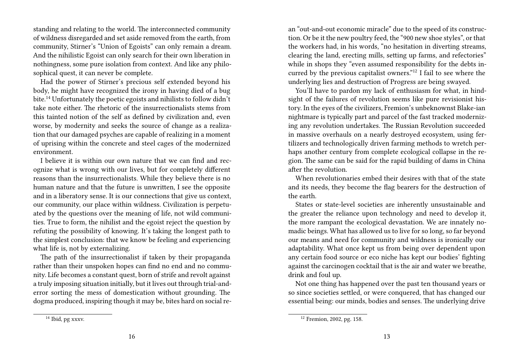standing and relating to the world. The interconnected community of wildness disregarded and set aside removed from the earth, from community, Stirner's "Union of Egoists" can only remain a dream. And the nihilistic Egoist can only search for their own liberation in nothingness, some pure isolation from context. And like any philosophical quest, it can never be complete.

Had the power of Stirner's precious self extended beyond his body, he might have recognized the irony in having died of a bug bite.<sup>14</sup> Unfortunately the poetic egoists and nihilists to follow didn't take note either. The rhetoric of the insurrectionalists stems from this tainted notion of the self as defined by civilization and, even worse, by modernity and seeks the source of change as a realization that our damaged psyches are capable of realizing in a moment of uprising within the concrete and steel cages of the modernized environment.

I believe it is within our own nature that we can find and recognize what is wrong with our lives, but for completely different reasons than the insurrectionalists. While they believe there is no human nature and that the future is unwritten, I see the opposite and in a liberatory sense. It is our connections that give us context, our community, our place within wildness. Civilization is perpetuated by the questions over the meaning of life, not wild communities. True to form, the nihilist and the egoist reject the question by refuting the possibility of knowing. It's taking the longest path to the simplest conclusion: that we know be feeling and experiencing what life is, not by externalizing.

The path of the insurrectionalist if taken by their propaganda rather than their unspoken hopes can find no end and no community. Life becomes a constant quest, born of strife and revolt against a truly imposing situation initially, but it lives out through trial-anderror sorting the mess of domestication without grounding. The dogma produced, inspiring though it may be, bites hard on social rean "out-and-out economic miracle" due to the speed of its construction. Or be it the new poultry feed, the "900 new shoe styles", or that the workers had, in his words, "no hesitation in diverting streams, clearing the land, erecting mills, setting up farms, and refectories" while in shops they "even assumed responsibility for the debts incurred by the previous capitalist owners."<sup>12</sup> I fail to see where the underlying lies and destruction of Progress are being swayed.

You'll have to pardon my lack of enthusiasm for what, in hindsight of the failures of revolution seems like pure revisionist history. In the eyes of the civilizers, Fremion's unbeknownst Blake-ian nightmare is typically part and parcel of the fast tracked modernizing any revolution undertakes. The Russian Revolution succeeded in massive overhauls on a nearly destroyed ecosystem, using fertilizers and technologically driven farming methods to wretch perhaps another century from complete ecological collapse in the region. The same can be said for the rapid building of dams in China after the revolution.

When revolutionaries embed their desires with that of the state and its needs, they become the flag bearers for the destruction of the earth.

States or state-level societies are inherently unsustainable and the greater the reliance upon technology and need to develop it, the more rampant the ecological devastation. We are innately nomadic beings. What has allowed us to live for so long, so far beyond our means and need for community and wildness is ironically our adaptability. What once kept us from being over dependent upon any certain food source or eco niche has kept our bodies' fighting against the carcinogen cocktail that is the air and water we breathe, drink and foul up.

Not one thing has happened over the past ten thousand years or so since societies settled, or were conquered, that has changed our essential being: our minds, bodies and senses. The underlying drive

<sup>12</sup> Fremion, 2002, pg. 158.

<sup>14</sup> Ibid, pg xxxv.